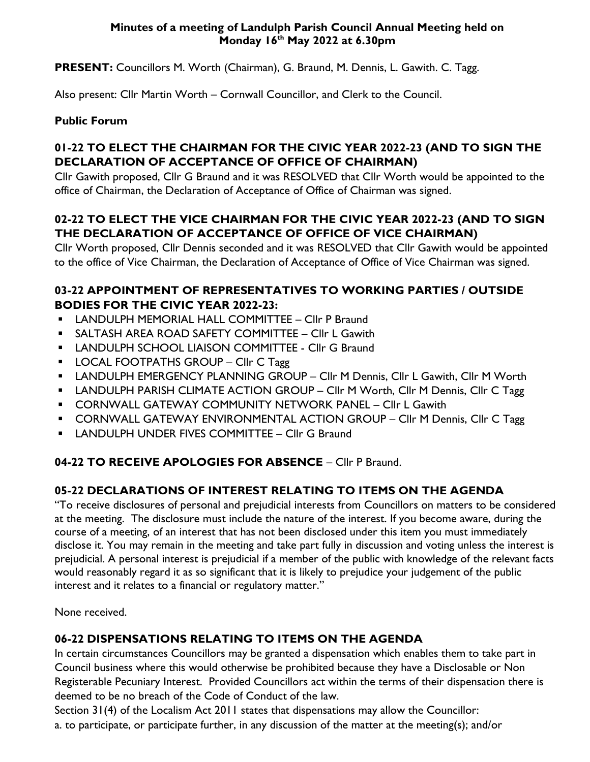#### **Minutes of a meeting of Landulph Parish Council Annual Meeting held on Monday 16 th May 2022 at 6.30pm**

**PRESENT:** Councillors M. Worth (Chairman), G. Braund, M. Dennis, L. Gawith. C. Tagg.

Also present: Cllr Martin Worth – Cornwall Councillor, and Clerk to the Council.

#### **Public Forum**

#### **01-22 TO ELECT THE CHAIRMAN FOR THE CIVIC YEAR 2022-23 (AND TO SIGN THE DECLARATION OF ACCEPTANCE OF OFFICE OF CHAIRMAN)**

Cllr Gawith proposed, Cllr G Braund and it was RESOLVED that Cllr Worth would be appointed to the office of Chairman, the Declaration of Acceptance of Office of Chairman was signed.

## **02-22 TO ELECT THE VICE CHAIRMAN FOR THE CIVIC YEAR 2022-23 (AND TO SIGN THE DECLARATION OF ACCEPTANCE OF OFFICE OF VICE CHAIRMAN)**

Cllr Worth proposed, Cllr Dennis seconded and it was RESOLVED that Cllr Gawith would be appointed to the office of Vice Chairman, the Declaration of Acceptance of Office of Vice Chairman was signed.

#### **03-22 APPOINTMENT OF REPRESENTATIVES TO WORKING PARTIES / OUTSIDE BODIES FOR THE CIVIC YEAR 2022-23:**

- **E** LANDULPH MEMORIAL HALL COMMITTEE Cllr P Braund
- **E** SALTASH AREA ROAD SAFETY COMMITTEE Cllr L Gawith
- **E** LANDULPH SCHOOL LIAISON COMMITTEE Cllr G Braund
- **LOCAL FOOTPATHS GROUP CIIr C Tagg**
- **E** LANDULPH EMERGENCY PLANNING GROUP Cllr M Dennis, Cllr L Gawith, Cllr M Worth
- **E** LANDULPH PARISH CLIMATE ACTION GROUP Cllr M Worth, Cllr M Dennis, Cllr C Tagg
- **CORNWALL GATEWAY COMMUNITY NETWORK PANEL CIIr L Gawith**
- **EXECORNWALL GATEWAY ENVIRONMENTAL ACTION GROUP CIIr M Dennis, CIIr C Tagg**
- **E** LANDULPH UNDER FIVES COMMITTEE Cllr G Braund

## **04-22 TO RECEIVE APOLOGIES FOR ABSENCE** – Cllr P Braund.

## **05-22 DECLARATIONS OF INTEREST RELATING TO ITEMS ON THE AGENDA**

"To receive disclosures of personal and prejudicial interests from Councillors on matters to be considered at the meeting. The disclosure must include the nature of the interest. If you become aware, during the course of a meeting, of an interest that has not been disclosed under this item you must immediately disclose it. You may remain in the meeting and take part fully in discussion and voting unless the interest is prejudicial. A personal interest is prejudicial if a member of the public with knowledge of the relevant facts would reasonably regard it as so significant that it is likely to prejudice your judgement of the public interest and it relates to a financial or regulatory matter."

None received.

# **06-22 DISPENSATIONS RELATING TO ITEMS ON THE AGENDA**

In certain circumstances Councillors may be granted a dispensation which enables them to take part in Council business where this would otherwise be prohibited because they have a Disclosable or Non Registerable Pecuniary Interest. Provided Councillors act within the terms of their dispensation there is deemed to be no breach of the Code of Conduct of the law.

Section 31(4) of the Localism Act 2011 states that dispensations may allow the Councillor: a. to participate, or participate further, in any discussion of the matter at the meeting(s); and/or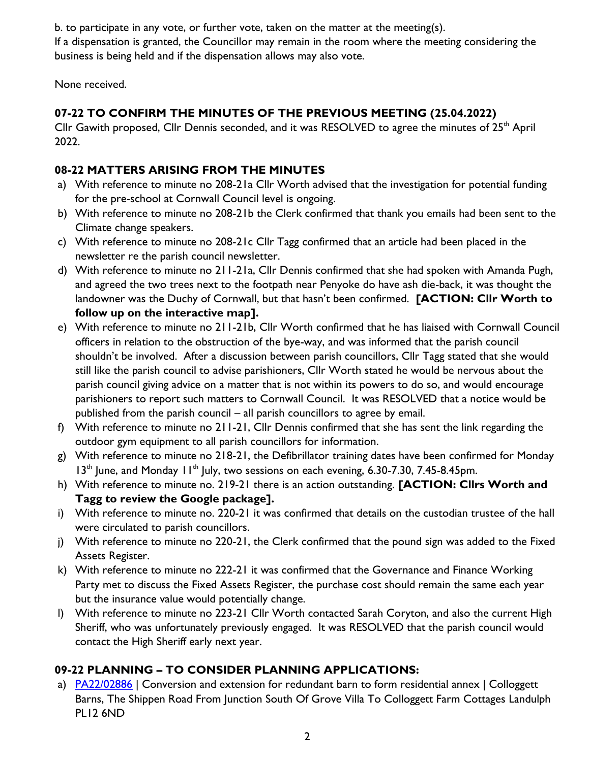b. to participate in any vote, or further vote, taken on the matter at the meeting(s).

If a dispensation is granted, the Councillor may remain in the room where the meeting considering the business is being held and if the dispensation allows may also vote.

None received.

## **07-22 TO CONFIRM THE MINUTES OF THE PREVIOUS MEETING (25.04.2022)**

Cllr Gawith proposed, Cllr Dennis seconded, and it was RESOLVED to agree the minutes of  $25<sup>th</sup>$  April 2022.

## **08-22 MATTERS ARISING FROM THE MINUTES**

- a) With reference to minute no 208-21a Cllr Worth advised that the investigation for potential funding for the pre-school at Cornwall Council level is ongoing.
- b) With reference to minute no 208-21b the Clerk confirmed that thank you emails had been sent to the Climate change speakers.
- c) With reference to minute no 208-21c Cllr Tagg confirmed that an article had been placed in the newsletter re the parish council newsletter.
- d) With reference to minute no 211-21a, Cllr Dennis confirmed that she had spoken with Amanda Pugh, and agreed the two trees next to the footpath near Penyoke do have ash die-back, it was thought the landowner was the Duchy of Cornwall, but that hasn't been confirmed. **[ACTION: Cllr Worth to follow up on the interactive map].**
- e) With reference to minute no 211-21b, Cllr Worth confirmed that he has liaised with Cornwall Council officers in relation to the obstruction of the bye-way, and was informed that the parish council shouldn't be involved. After a discussion between parish councillors, Cllr Tagg stated that she would still like the parish council to advise parishioners, Cllr Worth stated he would be nervous about the parish council giving advice on a matter that is not within its powers to do so, and would encourage parishioners to report such matters to Cornwall Council. It was RESOLVED that a notice would be published from the parish council – all parish councillors to agree by email.
- f) With reference to minute no 211-21, Cllr Dennis confirmed that she has sent the link regarding the outdoor gym equipment to all parish councillors for information.
- g) With reference to minute no 218-21, the Defibrillator training dates have been confirmed for Monday  $13<sup>th</sup>$  June, and Monday  $11<sup>th</sup>$  July, two sessions on each evening, 6.30-7.30, 7.45-8.45pm.
- h) With reference to minute no. 219-21 there is an action outstanding. **[ACTION: Cllrs Worth and Tagg to review the Google package].**
- i) With reference to minute no. 220-21 it was confirmed that details on the custodian trustee of the hall were circulated to parish councillors.
- j) With reference to minute no 220-21, the Clerk confirmed that the pound sign was added to the Fixed Assets Register.
- k) With reference to minute no 222-21 it was confirmed that the Governance and Finance Working Party met to discuss the Fixed Assets Register, the purchase cost should remain the same each year but the insurance value would potentially change.
- l) With reference to minute no 223-21 Cllr Worth contacted Sarah Coryton, and also the current High Sheriff, who was unfortunately previously engaged. It was RESOLVED that the parish council would contact the High Sheriff early next year.

# **09-22 PLANNING – TO CONSIDER PLANNING APPLICATIONS:**

a) [PA22/02886](https://planning.cornwall.gov.uk/online-applications/simpleSearchResults.do?action=firstPage) | Conversion and extension for redundant barn to form residential annex | Colloggett Barns, The Shippen Road From Junction South Of Grove Villa To Colloggett Farm Cottages Landulph PL12 6ND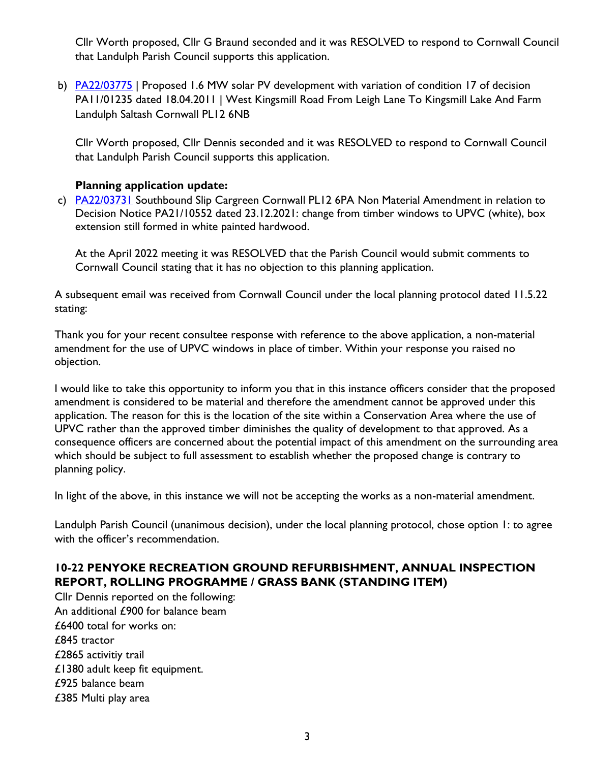Cllr Worth proposed, Cllr G Braund seconded and it was RESOLVED to respond to Cornwall Council that Landulph Parish Council supports this application.

b) [PA22/03775](file:///C:/Landulph%20Parish%20Council/Agendas%20and%20Minutes/2022/5.%2016%20May%202022/PA22/03775%20|%20Proposed%201.6%20MW%20solar%20PV%20development%20with%20variation%20of%20condition%2017%20of%20decision%20PA11/01235%20dated%2018.04.2011%20|%20West%20Kingsmill%20Road%20From%20Leigh%20Lane%20To%20Kingsmill%20Lake%20And%20Farm%20Landulph%20Saltash%20Cornwall%20PL12%206NB) | Proposed 1.6 MW solar PV development with variation of condition 17 of decision PA11/01235 dated 18.04.2011 | West Kingsmill Road From Leigh Lane To Kingsmill Lake And Farm Landulph Saltash Cornwall PL12 6NB

Cllr Worth proposed, Cllr Dennis seconded and it was RESOLVED to respond to Cornwall Council that Landulph Parish Council supports this application.

#### **Planning application update:**

c) [PA22/03731](https://planning.cornwall.gov.uk/online-applications/simpleSearchResults.do?action=firstPage) Southbound Slip Cargreen Cornwall PL12 6PA Non Material Amendment in relation to Decision Notice PA21/10552 dated 23.12.2021: change from timber windows to UPVC (white), box extension still formed in white painted hardwood.

At the April 2022 meeting it was RESOLVED that the Parish Council would submit comments to Cornwall Council stating that it has no objection to this planning application.

A subsequent email was received from Cornwall Council under the local planning protocol dated 11.5.22 stating:

Thank you for your recent consultee response with reference to the above application, a non-material amendment for the use of UPVC windows in place of timber. Within your response you raised no objection.

I would like to take this opportunity to inform you that in this instance officers consider that the proposed amendment is considered to be material and therefore the amendment cannot be approved under this application. The reason for this is the location of the site within a Conservation Area where the use of UPVC rather than the approved timber diminishes the quality of development to that approved. As a consequence officers are concerned about the potential impact of this amendment on the surrounding area which should be subject to full assessment to establish whether the proposed change is contrary to planning policy.

In light of the above, in this instance we will not be accepting the works as a non-material amendment.

Landulph Parish Council (unanimous decision), under the local planning protocol, chose option 1: to agree with the officer's recommendation.

## **10-22 PENYOKE RECREATION GROUND REFURBISHMENT, ANNUAL INSPECTION REPORT, ROLLING PROGRAMME / GRASS BANK (STANDING ITEM)**

Cllr Dennis reported on the following: An additional £900 for balance beam £6400 total for works on: £845 tractor £2865 activitiy trail £1380 adult keep fit equipment. £925 balance beam £385 Multi play area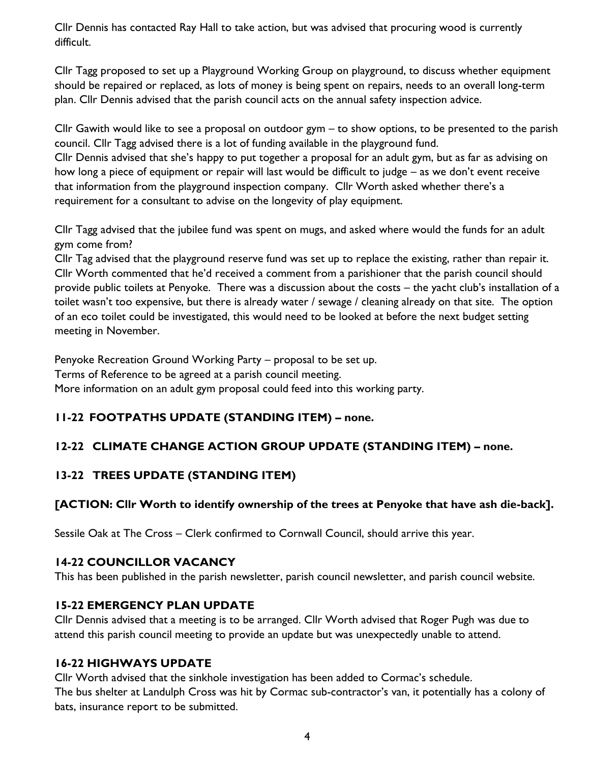Cllr Dennis has contacted Ray Hall to take action, but was advised that procuring wood is currently difficult.

Cllr Tagg proposed to set up a Playground Working Group on playground, to discuss whether equipment should be repaired or replaced, as lots of money is being spent on repairs, needs to an overall long-term plan. Cllr Dennis advised that the parish council acts on the annual safety inspection advice.

Cllr Gawith would like to see a proposal on outdoor gym – to show options, to be presented to the parish council. Cllr Tagg advised there is a lot of funding available in the playground fund. Cllr Dennis advised that she's happy to put together a proposal for an adult gym, but as far as advising on how long a piece of equipment or repair will last would be difficult to judge – as we don't event receive that information from the playground inspection company. Cllr Worth asked whether there's a

requirement for a consultant to advise on the longevity of play equipment.

Cllr Tagg advised that the jubilee fund was spent on mugs, and asked where would the funds for an adult gym come from?

Cllr Tag advised that the playground reserve fund was set up to replace the existing, rather than repair it. Cllr Worth commented that he'd received a comment from a parishioner that the parish council should provide public toilets at Penyoke. There was a discussion about the costs – the yacht club's installation of a toilet wasn't too expensive, but there is already water / sewage / cleaning already on that site. The option of an eco toilet could be investigated, this would need to be looked at before the next budget setting meeting in November.

Penyoke Recreation Ground Working Party – proposal to be set up. Terms of Reference to be agreed at a parish council meeting. More information on an adult gym proposal could feed into this working party.

## **11-22 FOOTPATHS UPDATE (STANDING ITEM) – none.**

# **12-22 CLIMATE CHANGE ACTION GROUP UPDATE (STANDING ITEM) – none.**

## **13-22 TREES UPDATE (STANDING ITEM)**

## **[ACTION: Cllr Worth to identify ownership of the trees at Penyoke that have ash die-back].**

Sessile Oak at The Cross – Clerk confirmed to Cornwall Council, should arrive this year.

#### **14-22 COUNCILLOR VACANCY**

This has been published in the parish newsletter, parish council newsletter, and parish council website.

#### **15-22 EMERGENCY PLAN UPDATE**

Cllr Dennis advised that a meeting is to be arranged. Cllr Worth advised that Roger Pugh was due to attend this parish council meeting to provide an update but was unexpectedly unable to attend.

#### **16-22 HIGHWAYS UPDATE**

Cllr Worth advised that the sinkhole investigation has been added to Cormac's schedule. The bus shelter at Landulph Cross was hit by Cormac sub-contractor's van, it potentially has a colony of bats, insurance report to be submitted.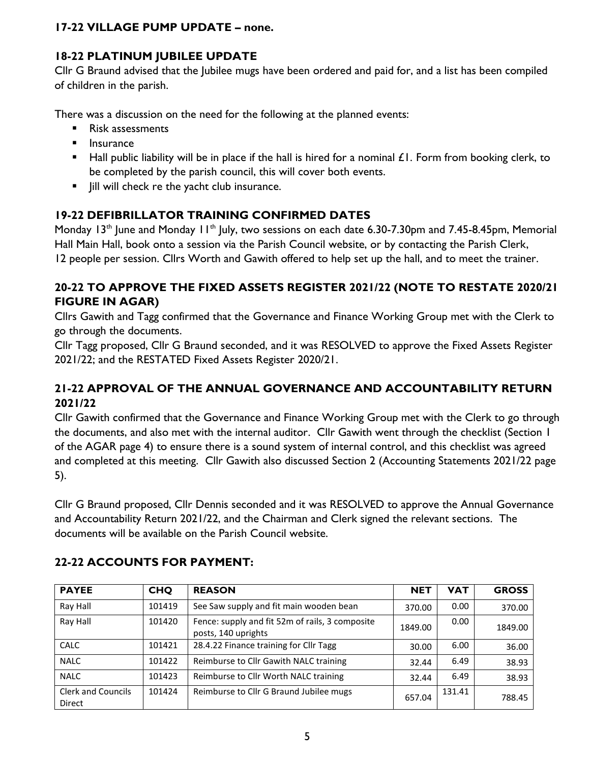## **17-22 VILLAGE PUMP UPDATE – none.**

## **18-22 PLATINUM JUBILEE UPDATE**

Cllr G Braund advised that the Jubilee mugs have been ordered and paid for, and a list has been compiled of children in the parish.

There was a discussion on the need for the following at the planned events:

- Risk assessments
- **■** Insurance
- Hall public liability will be in place if the hall is hired for a nominal £1. Form from booking clerk, to be completed by the parish council, this will cover both events.
- Jill will check re the yacht club insurance.

### **19-22 DEFIBRILLATOR TRAINING CONFIRMED DATES**

Monday 13<sup>th</sup> June and Monday 11<sup>th</sup> July, two sessions on each date 6.30-7.30pm and 7.45-8.45pm, Memorial Hall Main Hall, book onto a session via the Parish Council website, or by contacting the Parish Clerk, 12 people per session. Cllrs Worth and Gawith offered to help set up the hall, and to meet the trainer.

### **20-22 TO APPROVE THE FIXED ASSETS REGISTER 2021/22 (NOTE TO RESTATE 2020/21 FIGURE IN AGAR)**

Cllrs Gawith and Tagg confirmed that the Governance and Finance Working Group met with the Clerk to go through the documents.

Cllr Tagg proposed, Cllr G Braund seconded, and it was RESOLVED to approve the Fixed Assets Register 2021/22; and the RESTATED Fixed Assets Register 2020/21.

#### **21-22 APPROVAL OF THE ANNUAL GOVERNANCE AND ACCOUNTABILITY RETURN 2021/22**

Cllr Gawith confirmed that the Governance and Finance Working Group met with the Clerk to go through the documents, and also met with the internal auditor. Cllr Gawith went through the checklist (Section 1 of the AGAR page 4) to ensure there is a sound system of internal control, and this checklist was agreed and completed at this meeting. Cllr Gawith also discussed Section 2 (Accounting Statements 2021/22 page 5).

Cllr G Braund proposed, Cllr Dennis seconded and it was RESOLVED to approve the Annual Governance and Accountability Return 2021/22, and the Chairman and Clerk signed the relevant sections. The documents will be available on the Parish Council website.

| <b>PAYEE</b>                        | <b>CHQ</b> | <b>REASON</b>                                                          | <b>NET</b> | <b>VAT</b> | <b>GROSS</b> |
|-------------------------------------|------------|------------------------------------------------------------------------|------------|------------|--------------|
| Ray Hall                            | 101419     | See Saw supply and fit main wooden bean                                | 370.00     | 0.00       | 370.00       |
| Ray Hall                            | 101420     | Fence: supply and fit 52m of rails, 3 composite<br>posts, 140 uprights | 1849.00    | 0.00       | 1849.00      |
| <b>CALC</b>                         | 101421     | 28.4.22 Finance training for Cllr Tagg                                 | 30.00      | 6.00       | 36.00        |
| <b>NALC</b>                         | 101422     | Reimburse to Cllr Gawith NALC training                                 | 32.44      | 6.49       | 38.93        |
| <b>NALC</b>                         | 101423     | Reimburse to Cllr Worth NALC training                                  | 32.44      | 6.49       | 38.93        |
| <b>Clerk and Councils</b><br>Direct | 101424     | Reimburse to Cllr G Braund Jubilee mugs                                | 657.04     | 131.41     | 788.45       |

#### **22-22 ACCOUNTS FOR PAYMENT:**